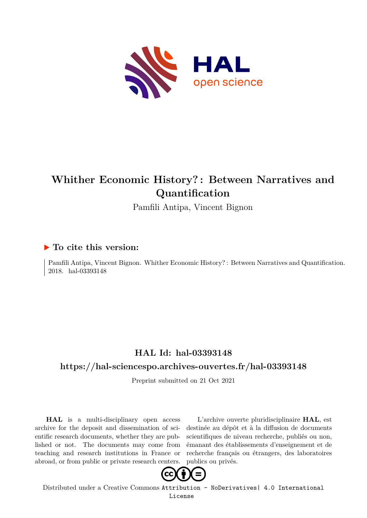

## **Whither Economic History? : Between Narratives and Quantification**

Pamfili Antipa, Vincent Bignon

## **To cite this version:**

Pamfili Antipa, Vincent Bignon. Whither Economic History? : Between Narratives and Quantification. 2018. hal-03393148

## **HAL Id: hal-03393148**

## **<https://hal-sciencespo.archives-ouvertes.fr/hal-03393148>**

Preprint submitted on 21 Oct 2021

**HAL** is a multi-disciplinary open access archive for the deposit and dissemination of scientific research documents, whether they are published or not. The documents may come from teaching and research institutions in France or abroad, or from public or private research centers.

L'archive ouverte pluridisciplinaire **HAL**, est destinée au dépôt et à la diffusion de documents scientifiques de niveau recherche, publiés ou non, émanant des établissements d'enseignement et de recherche français ou étrangers, des laboratoires publics ou privés.



Distributed under a Creative Commons [Attribution - NoDerivatives| 4.0 International](http://creativecommons.org/licenses/by-nd/4.0/) [License](http://creativecommons.org/licenses/by-nd/4.0/)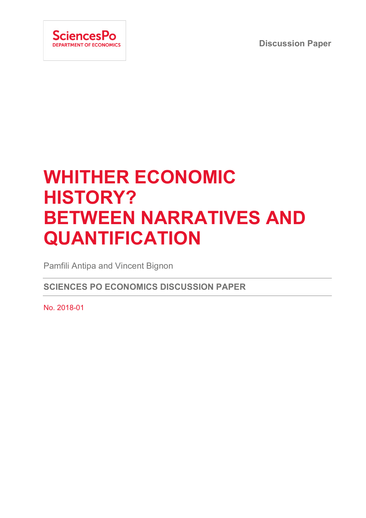**Discussion Paper**



# **WHITHER ECONOMIC HISTORY? BETWEEN NARRATIVES AND QUANTIFICATION**

Pamfili Antipa and Vincent Bignon

**SCIENCES PO ECONOMICS DISCUSSION PAPER**

No. 2018-01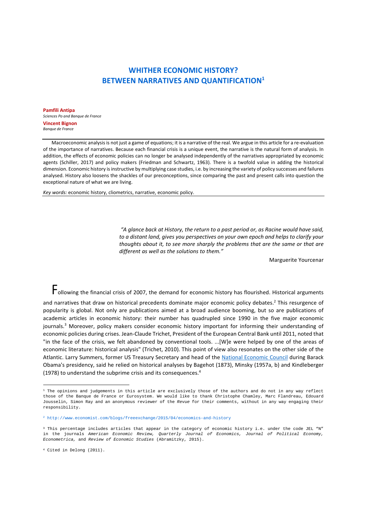## **WHITHER ECONOMIC HISTORY? BETWEEN NARRATIVES AND QUANTIFICATION1**

**Pamfili Antipa**  *Sciences Po and Banque de France*  **Vincent Bignon**  *Banque de France* 

Macroeconomic analysis is not just a game of equations; it is a narrative of the real. We argue in this article for a re-evaluation of the importance of narratives. Because each financial crisis is a unique event, the narrative is the natural form of analysis. In addition, the effects of economic policies can no longer be analysed independently of the narratives appropriated by economic agents (Schiller, 2017) and policy makers (Friedman and Schwartz, 1963). There is a twofold value in adding the historical dimension. Economic history is instructive by multiplying case studies, i.e. by increasing the variety of policy successes and failures analysed. History also loosens the shackles of our preconceptions, since comparing the past and present calls into question the exceptional nature of what we are living.

*Key words:* economic history, cliometrics, narrative, economic policy.

 *"A glance back at History, the return to a past period or, as Racine would have said, to a distant land, gives you perspectives on your own epoch and helps to clarify your thoughts about it, to see more sharply the problems that are the same or that are different as well as the solutions to them."* 

Marguerite Yourcenar

Following the financial crisis of 2007, the demand for economic history has flourished. Historical arguments

and narratives that draw on historical precedents dominate major economic policy debates.<sup>2</sup> This resurgence of popularity is global. Not only are publications aimed at a broad audience booming, but so are publications of academic articles in economic history: their number has quadrupled since 1990 in the five major economic journals.<sup>3</sup> Moreover, policy makers consider economic history important for informing their understanding of economic policies during crises. Jean‐Claude Trichet, President of the European Central Bank until 2011, noted that "in the face of the crisis, we felt abandoned by conventional tools. ...[W]e were helped by one of the areas of economic literature: historical analysis" (Trichet, 2010). This point of view also resonates on the other side of the Atlantic. Larry Summers, former US Treasury Secretary and head of the National Economic Council during Barack Obama's presidency, said he relied on historical analyses by Bagehot (1873), Minsky (1957a, b) and Kindleberger (1978) to understand the subprime crisis and its consequences.4

<sup>1</sup> The opinions and judgements in this article are exclusively those of the authors and do not in any way reflect those of the Banque de France or Eurosystem. We would like to thank Christophe Chamley, Marc Flandreau, Edouard Jousselin, Simon Ray and an anonymous reviewer of the *Revue* for their comments, without in any way engaging their responsibility.

<sup>2</sup> http://www.economist.com/blogs/freeexchange/2015/04/economics-and-history

<sup>&</sup>lt;sup>3</sup> This percentage includes articles that appear in the category of economic history i.e. under the code JEL "N" in the journals *American Economic Review, Quarterly Journal of Economics, Journal of Political Economy, Econometrica,* and *Review of Economic Studies* (Abramitzky, 2015).

<sup>4</sup> Cited in Delong (2011).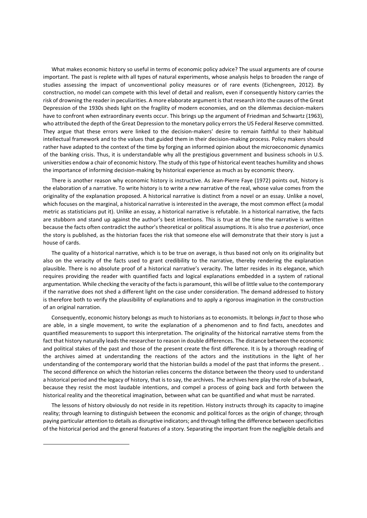What makes economic history so useful in terms of economic policy advice? The usual arguments are of course important. The past is replete with all types of natural experiments, whose analysis helps to broaden the range of studies assessing the impact of unconventional policy measures or of rare events (Eichengreen, 2012). By construction, no model can compete with this level of detail and realism, even if consequently history carries the risk of drowning the reader in peculiarities. A more elaborate argument is that research into the causes of the Great Depression of the 1930s sheds light on the fragility of modern economies, and on the dilemmas decision‐makers have to confront when extraordinary events occur. This brings up the argument of Friedman and Schwartz (1963), who attributed the depth of the Great Depression to the monetary policy errors the US Federal Reserve committed. They argue that these errors were linked to the decision-makers' desire to remain faithful to their habitual intellectual framework and to the values that guided them in their decision-making process. Policy makers should rather have adapted to the context of the time by forging an informed opinion about the microeconomic dynamics of the banking crisis. Thus, it is understandable why all the prestigious government and business schools in U.S. universities endow a chair of economic history. The study of this type of historical event teaches humility and shows the importance of informing decision‐making by historical experience as much as by economic theory.

There is another reason why economic history is instructive. As Jean-Pierre Faye (1972) points out, history is the elaboration of a narrative. To write history is to write a *new* narrative of the real, whose value comes from the originality of the explanation proposed. A historical narrative is distinct from a novel or an essay. Unlike a novel, which focuses on the marginal, a historical narrative is interested in the average, the most common effect (a modal metric as statisticians put it). Unlike an essay, a historical narrative is refutable. In a historical narrative, the facts are stubborn and stand up against the author's best intentions. This is true at the time the narrative is written because the facts often contradict the author's theoretical or political assumptions. It is also true *a posteriori*, once the story is published, as the historian faces the risk that someone else will demonstrate that their story is just a house of cards.

The quality of a historical narrative, which is to be true on average, is thus based not only on its originality but also on the veracity of the facts used to grant credibility to the narrative, thereby rendering the explanation plausible. There is no absolute proof of a historical narrative's veracity. The latter resides in its elegance, which requires providing the reader with quantified facts and logical explanations embedded in a system of rational argumentation. While checking the veracity of the facts is paramount, this will be of little value to the contemporary if the narrative does not shed a different light on the case under consideration. The demand addressed to history is therefore both to verify the plausibility of explanations and to apply a rigorous imagination in the construction of an original narration.

Consequently, economic history belongs as much to historians as to economists. It belongs *in fact* to those who are able, in a single movement, to write the explanation of a phenomenon and to find facts, anecdotes and quantified measurements to support this interpretation. The originality of the historical narrative stems from the fact that history naturally leads the researcher to reason in double differences. The distance between the economic and political stakes of the past and those of the present create the first difference. It is by a thorough reading of the archives aimed at understanding the reactions of the actors and the institutions in the light of her understanding of the contemporary world that the historian builds a model of the past that informs the present.. The second difference on which the historian relies concerns the distance between the theory used to understand a historical period and the legacy of history, that is to say, the archives. The archives here play the role of a bulwark, because they resist the most laudable intentions, and compel a process of going back and forth between the historical reality and the theoretical imagination, between what can be quantified and what must be narrated.

The lessons of history obviously do not reside in its repetition. History instructs through its capacity to imagine reality; through learning to distinguish between the economic and political forces as the origin of change; through paying particular attention to details as disruptive indicators; and through telling the difference between specificities of the historical period and the general features of a story. Separating the important from the negligible details and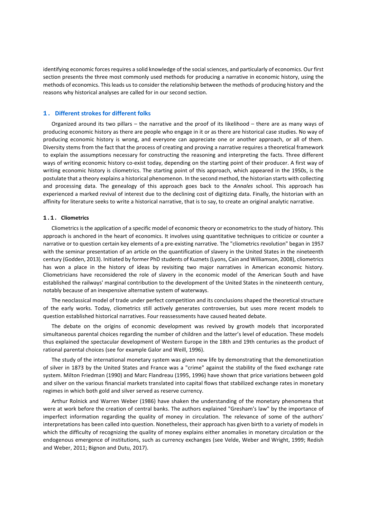identifying economic forces requires a solid knowledge of the social sciences, and particularly of economics. Our first section presents the three most commonly used methods for producing a narrative in economic history, using the methods of economics. This leads us to consider the relationship between the methods of producing history and the reasons why historical analyses are called for in our second section.

#### **1. Different strokes for different folks**

Organized around its two pillars – the narrative and the proof of its likelihood – there are as many ways of producing economic history as there are people who engage in it or as there are historical case studies. No way of producing economic history is wrong, and everyone can appreciate one or another approach, or all of them. Diversity stems from the fact that the process of creating and proving a narrative requires a theoretical framework to explain the assumptions necessary for constructing the reasoning and interpreting the facts. Three different ways of writing economic history co-exist today, depending on the starting point of their producer. A first way of writing economic history is cliometrics. The starting point of this approach, which appeared in the 1950s, is the postulate that a theory explains a historical phenomenon. In the second method, the historian starts with collecting and processing data. The genealogy of this approach goes back to the *Annales* school. This approach has experienced a marked revival of interest due to the declining cost of digitizing data. Finally, the historian with an affinity for literature seeks to write a historical narrative, that is to say, to create an original analytic narrative.

#### **1.1. Cliometrics**

Cliometrics is the application of a specific model of economic theory or econometrics to the study of history. This approach is anchored in the heart of economics. It involves using quantitative techniques to criticize or counter a narrative or to question certain key elements of a pre‐existing narrative. The "cliometrics revolution" began in 1957 with the seminar presentation of an article on the quantification of slavery in the United States in the nineteenth century (Godden, 2013). Initiated by former PhD students of Kuznets (Lyons, Cain and Williamson, 2008), cliometrics has won a place in the history of ideas by revisiting two major narratives in American economic history. Cliometricians have reconsidered the role of slavery in the economic model of the American South and have established the railways' marginal contribution to the development of the United States in the nineteenth century, notably because of an inexpensive alternative system of waterways.

The neoclassical model of trade under perfect competition and its conclusions shaped the theoretical structure of the early works. Today, cliometrics still actively generates controversies, but uses more recent models to question established historical narratives. Four reassessments have caused heated debate.

The debate on the origins of economic development was revived by growth models that incorporated simultaneous parental choices regarding the number of children and the latter's level of education. These models thus explained the spectacular development of Western Europe in the 18th and 19th centuries as the product of rational parental choices (see for example Galor and Weill, 1996).

The study of the international monetary system was given new life by demonstrating that the demonetization of silver in 1873 by the United States and France was a "crime" against the stability of the fixed exchange rate system. Milton Friedman (1990) and Marc Flandreau (1995, 1996) have shown that price variations between gold and silver on the various financial markets translated into capital flows that stabilized exchange rates in monetary regimes in which both gold and silver served as reserve currency.

Arthur Rolnick and Warren Weber (1986) have shaken the understanding of the monetary phenomena that were at work before the creation of central banks. The authors explained "Gresham's law" by the importance of imperfect information regarding the quality of money in circulation. The relevance of some of the authors' interpretations has been called into question. Nonetheless, their approach has given birth to a variety of models in which the difficulty of recognizing the quality of money explains either anomalies in monetary circulation or the endogenous emergence of institutions, such as currency exchanges (see Velde, Weber and Wright, 1999; Redish and Weber, 2011; Bignon and Dutu, 2017).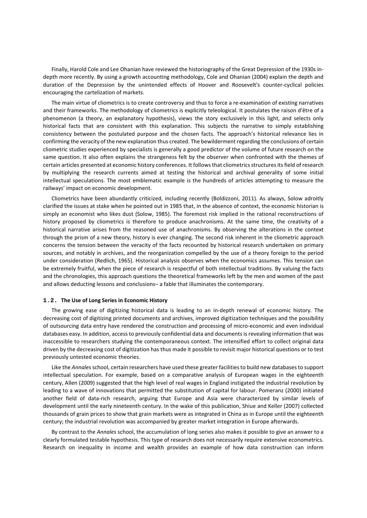Finally, Harold Cole and Lee Ohanian have reviewed the historiography of the Great Depression of the 1930s in‐ depth more recently. By using a growth accounting methodology, Cole and Ohanian (2004) explain the depth and duration of the Depression by the unintended effects of Hoover and Roosevelt's counter‐cyclical policies encouraging the cartelization of markets.

The main virtue of cliometrics is to create controversy and thus to force a re‐examination of existing narratives and their frameworks. The methodology of cliometrics is explicitly teleological. It postulates the raison d'être of a phenomenon (a theory, an explanatory hypothesis), views the story exclusively in this light, and selects only historical facts that are consistent with this explanation. This subjects the narrative to simply establishing consistency between the postulated purpose and the chosen facts. The approach's historical relevance lies in confirming the veracity of the new explanation thus created. The bewilderment regarding the conclusions of certain cliometric studies experienced by specialists is generally a good predictor of the volume of future research on the same question. It also often explains the strangeness felt by the observer when confronted with the themes of certain articles presented at economic history conferences. It follows that cliometrics structures its field of research by multiplying the research currents aimed at testing the historical and archival generality of some initial intellectual speculations. The most emblematic example is the hundreds of articles attempting to measure the railways' impact on economic development.

Cliometrics have been abundantly criticized, including recently (Boldizzoni, 2011). As always, Solow adroitly clarified the issues at stake when he pointed out in 1985 that, in the absence of context, the economic historian is simply an economist who likes dust (Solow, 1985). The foremost risk implied in the rational reconstructions of history proposed by cliometrics is therefore to produce anachronisms. At the same time, the creativity of a historical narrative arises from the reasoned use of anachronisms. By observing the alterations in the context through the prism of a new theory, history is ever changing. The second risk inherent in the cliometric approach concerns the tension between the veracity of the facts recounted by historical research undertaken on primary sources, and notably in archives, and the reorganization compelled by the use of a theory foreign to the period under consideration (Redlich, 1965). Historical analysis observes when the economics assumes. This tension can be extremely fruitful, when the piece of research is respectful of both intellectual traditions. By valuing the facts and the chronologies, this approach questions the theoretical frameworks left by the men and women of the past and allows deducting lessons and conclusions– a fable that illuminates the contemporary.

#### **1.2. The Use of Long Series in Economic History**

The growing ease of digitizing historical data is leading to an in-depth renewal of economic history. The decreasing cost of digitizing printed documents and archives, improved digitization techniques and the possibility of outsourcing data entry have rendered the construction and processing of micro‐economic and even individual databases easy. In addition, access to previously confidential data and documents is revealing information that was inaccessible to researchers studying the contemporaneous context. The intensified effort to collect original data driven by the decreasing cost of digitization has thus made it possible to revisit major historical questions or to test previously untested economic theories.

Like the *Annales* school, certain researchers have used these greater facilities to build new databases to support intellectual speculation. For example, based on a comparative analysis of European wages in the eighteenth century, Allen (2009) suggested that the high level of real wages in England instigated the industrial revolution by leading to a wave of innovations that permitted the substitution of capital for labour. Pomeranz (2000) initiated another field of data-rich research, arguing that Europe and Asia were characterized by similar levels of development until the early nineteenth century. In the wake of this publication, Shiue and Keller (2007) collected thousands of grain prices to show that grain markets were as integrated in China as in Europe until the eighteenth century; the industrial revolution was accompanied by greater market integration in Europe afterwards.

By contrast to the *Annales* school, the accumulation of long series also makes it possible to give an answer to a clearly formulated testable hypothesis. This type of research does not necessarily require extensive econometrics. Research on inequality in income and wealth provides an example of how data construction can inform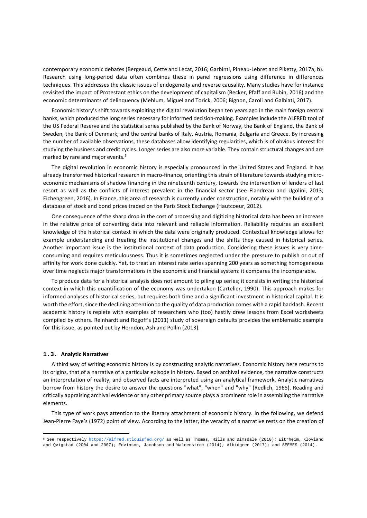contemporary economic debates (Bergeaud, Cette and Lecat, 2016; Garbinti, Pineau‐Lebret and Piketty, 2017a, b). Research using long-period data often combines these in panel regressions using difference in differences techniques. This addresses the classic issues of endogeneity and reverse causality. Many studies have for instance revisited the impact of Protestant ethics on the development of capitalism (Becker, Pfaff and Rubin, 2016) and the economic determinants of delinquency (Mehlum, Miguel and Torick, 2006; Bignon, Caroli and Galbiati, 2017).

Economic history's shift towards exploiting the digital revolution began ten years ago in the main foreign central banks, which produced the long series necessary for informed decision‐making. Examples include the ALFRED tool of the US Federal Reserve and the statistical series published by the Bank of Norway, the Bank of England, the Bank of Sweden, the Bank of Denmark, and the central banks of Italy, Austria, Romania, Bulgaria and Greece. By increasing the number of available observations, these databases allow identifying regularities, which is of obvious interest for studying the business and credit cycles. Longer series are also more variable. They contain structural changes and are marked by rare and major events.<sup>5</sup>

The digital revolution in economic history is especially pronounced in the United States and England. It has already transformed historical research in macro-finance, orienting this strain of literature towards studying microeconomic mechanisms of shadow financing in the nineteenth century, towards the intervention of lenders of last resort as well as the conflicts of interest prevalent in the financial sector (see Flandreau and Ugolini, 2013; Eichengreen, 2016). In France, this area of research is currently under construction, notably with the building of a database of stock and bond prices traded on the Paris Stock Exchange (Hautcoeur, 2012).

One consequence of the sharp drop in the cost of processing and digitizing historical data has been an increase in the relative price of converting data into relevant and reliable information. Reliability requires an excellent knowledge of the historical context in which the data were originally produced. Contextual knowledge allows for example understanding and treating the institutional changes and the shifts they caused in historical series. Another important issue is the institutional context of data production. Considering these issues is very timeconsuming and requires meticulousness. Thus it is sometimes neglected under the pressure to publish or out of affinity for work done quickly. Yet, to treat an interest rate series spanning 200 years as something homogeneous over time neglects major transformations in the economic and financial system: it compares the incomparable.

To produce data for a historical analysis does not amount to piling up series; it consists in writing the historical context in which this quantification of the economy was undertaken (Cartelier, 1990). This approach makes for informed analyses of historical series, but requires both time and a significant investment in historical capital. It is worth the effort, since the declining attention to the quality of data production comes with a rapid backlash. Recent academic history is replete with examples of researchers who (too) hastily drew lessons from Excel worksheets compiled by others. Reinhardt and Rogoff's (2011) study of sovereign defaults provides the emblematic example for this issue, as pointed out by Herndon, Ash and Pollin (2013).

#### **1.3. Analytic Narratives**

A third way of writing economic history is by constructing analytic narratives. Economic history here returns to its origins, that of a narrative of a particular episode in history. Based on archival evidence, the narrative constructs an interpretation of reality, and observed facts are interpreted using an analytical framework. Analytic narratives borrow from history the desire to answer the questions "what", "when" and "why" (Redlich, 1965). Reading and critically appraising archival evidence or any other primary source plays a prominent role in assembling the narrative elements.

This type of work pays attention to the literary attachment of economic history. In the following, we defend Jean‐Pierre Faye's (1972) point of view. According to the latter, the veracity of a narrative rests on the creation of

<sup>5</sup> See respectively https://alfred.stlouisfed.org/ as well as Thomas, Hills and Dimsdale (2010); Eitrheim, Klovland and Qvigstad (2004 and 2007); Edvinson, Jacobson and Waldenstrom (2014); Albidgren (2017); and SEEMES (2014).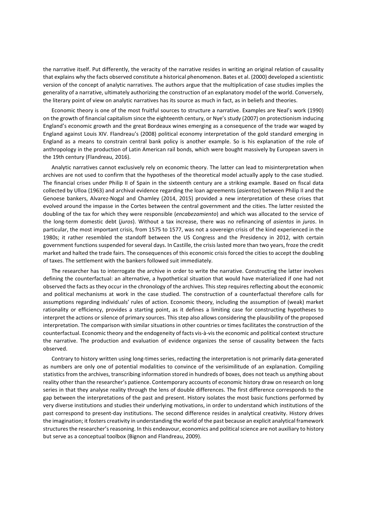the narrative itself. Put differently, the veracity of the narrative resides in writing an original relation of causality that explains why the facts observed constitute a historical phenomenon. Bates et al. (2000) developed a scientistic version of the concept of analytic narratives. The authors argue that the multiplication of case studies implies the generality of a narrative, ultimately authorizing the construction of an explanatory model of the world. Conversely, the literary point of view on analytic narratives has its source as much in fact, as in beliefs and theories.

Economic theory is one of the most fruitful sources to structure a narrative. Examples are Neal's work (1990) on the growth of financial capitalism since the eighteenth century, or Nye's study (2007) on protectionism inducing England's economic growth and the great Bordeaux wines emerging as a consequence of the trade war waged by England against Louis XIV. Flandreau's (2008) political economy interpretation of the gold standard emerging in England as a means to constrain central bank policy is another example. So is his explanation of the role of anthropology in the production of Latin American rail bonds, which were bought massively by European savers in the 19th century (Flandreau, 2016).

Analytic narratives cannot exclusively rely on economic theory. The latter can lead to misinterpretation when archives are not used to confirm that the hypotheses of the theoretical model actually apply to the case studied. The financial crises under Philip II of Spain in the sixteenth century are a striking example. Based on fiscal data collected by Ulloa (1963) and archival evidence regarding the loan agreements (*asientos*) between Philip II and the Genoese bankers, Alvarez‐Nogal and Chamley (2014, 2015) provided a new interpretation of these crises that evolved around the impasse in the Cortes between the central government and the cities. The latter resisted the doubling of the tax for which they were responsible (*encabezamiento*) and which was allocated to the service of the long‐term domestic debt (*juros*). Without a tax increase, there was no refinancing of *asientos* in *juros*. In particular, the most important crisis, from 1575 to 1577, was not a sovereign crisis of the kind experienced in the 1980s; it rather resembled the standoff between the US Congress and the Presidency in 2012, with certain government functions suspended for several days. In Castille, the crisis lasted more than two years, froze the credit market and halted the trade fairs. The consequences of this economic crisis forced the cities to accept the doubling of taxes. The settlement with the bankers followed suit immediately.

The researcher has to interrogate the archive in order to write the narrative. Constructing the latter involves defining the counterfactual: an alternative, a hypothetical situation that would have materialized if one had not observed the facts as they occur in the chronology of the archives. This step requires reflecting about the economic and political mechanisms at work in the case studied. The construction of a counterfactual therefore calls for assumptions regarding individuals' rules of action. Economic theory, including the assumption of (weak) market rationality or efficiency, provides a starting point, as it defines a limiting case for constructing hypotheses to interpret the actions or silence of primary sources. This step also allows considering the plausibility of the proposed interpretation. The comparison with similar situations in other countries or times facilitates the construction of the counterfactual. Economic theory and the endogeneity of facts vis‐à‐vis the economic and political context structure the narrative. The production and evaluation of evidence organizes the sense of causality between the facts observed.

Contrary to history written using long‐times series, redacting the interpretation is not primarily data‐generated as numbers are only one of potential modalities to convince of the verisimilitude of an explanation. Compiling statistics from the archives, transcribing information stored in hundreds of boxes, does not teach us anything about reality other than the researcher's patience. Contemporary accounts of economic history draw on research on long series in that they analyse reality through the lens of double differences. The first difference corresponds to the gap between the interpretations of the past and present. History isolates the most basic functions performed by very diverse institutions and studies their underlying motivations, in order to understand which institutions of the past correspond to present‐day institutions. The second difference resides in analytical creativity. History drives the imagination; it fosters creativity in understanding the world of the past because an explicit analytical framework structures the researcher's reasoning. In this endeavour, economics and political science are not auxiliary to history but serve as a conceptual toolbox (Bignon and Flandreau, 2009).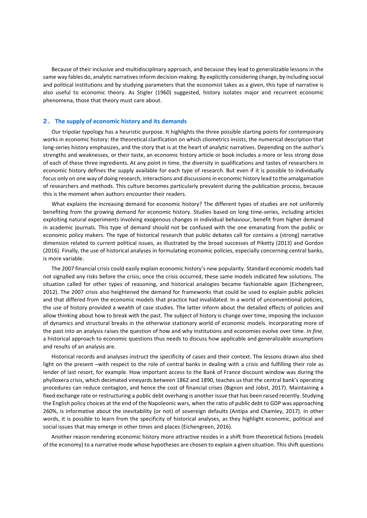Because of their inclusive and multidisciplinary approach, and because they lead to generalizable lessons in the same way fables do, analytic narratives inform decision‐making. By explicitly considering change, by including social and political institutions and by studying parameters that the economist takes as a given, this type of narrative is also useful to economic theory. As Stigler (1960) suggested, history isolates major and recurrent economic phenomena, those that theory must care about.

#### **2. The supply of economic history and its demands**

Our tripolar typology has a heuristic purpose. It highlights the three possible starting points for contemporary works in economic history: the theoretical clarification on which cliometrics insists, the numerical description that long‐series history emphasizes, and the story that is at the heart of analytic narratives. Depending on the author's strengths and weaknesses, or their taste, an economic history article or book includes a more or less strong dose of each of these three ingredients. At any point in time, the diversity in qualifications and tastes of researchers in economic history defines the supply available for each type of research. But even if it is possible to individually focus only on one way of doing research, interactions and discussions in economic history lead to the amalgamation of researchers and methods. This culture becomes particularly prevalent during the publication process, because this is the moment when authors encounter their readers.

What explains the increasing demand for economic history? The different types of studies are not uniformly benefiting from the growing demand for economic history. Studies based on long time-series, including articles exploiting natural experiments involving exogenous changes in individual behaviour, benefit from higher demand in academic journals. This type of demand should not be confused with the one emanating from the public or economic policy makers. The type of historical research that public debates call for contains a (strong) narrative dimension related to current political issues, as illustrated by the broad successes of Piketty (2013) and Gordon (2016). Finally, the use of historical analyses in formulating economic policies, especially concerning central banks, is more variable.

The 2007 financial crisis could easily explain economic history's new popularity. Standard economic models had not signalled any risks before the crisis; once the crisis occurred, these same models indicated few solutions. The situation called for other types of reasoning, and historical analogies became fashionable again (Eichengreen, 2012). The 2007 crisis also heightened the demand for frameworks that could be used to explain public policies and that differed from the economic models that practice had invalidated. In a world of unconventional policies, the use of history provided a wealth of case studies. The latter inform about the detailed effects of policies and allow thinking about how to break with the past. The subject of history is change over time, imposing the inclusion of dynamics and structural breaks in the otherwise stationary world of economic models. Incorporating more of the past into an analysis raises the question of how and why institutions and economies evolve over time. *In fine*, a historical approach to economic questions thus needs to discuss how applicable and generalizable assumptions and results of an analysis are.

Historical records and analyses instruct the specificity of cases and their context. The lessons drawn also shed light on the present –with respect to the role of central banks in dealing with a crisis and fulfilling their role as lender of last resort, for example. How important access to the Bank of France discount window was during the phylloxera crisis, which decimated vineyards between 1862 and 1890, teaches us that the central bank's operating procedures can reduce contagion, and hence the cost of financial crises (Bignon and Jobst, 2017). Maintaining a fixed exchange rate or restructuring a public debt overhang is another issue that has been raised recently. Studying the English policy choices at the end of the Napoleonic wars, when the ratio of public debt to GDP was approaching 260%, is informative about the inevitability (or not) of sovereign defaults (Antipa and Chamley, 2017). In other words, it is possible to learn from the specificity of historical analyses, as they highlight economic, political and social issues that may emerge in other times and places (Eichengreen, 2016).

Another reason rendering economic history more attractive resides in a shift from theoretical fictions (models of the economy) to a narrative mode whose hypotheses are chosen to explain a given situation. This shift questions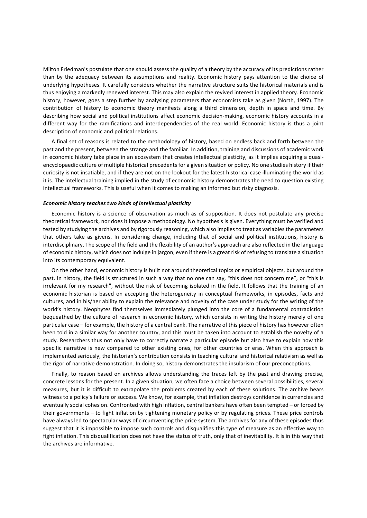Milton Friedman's postulate that one should assess the quality of a theory by the accuracy of its predictions rather than by the adequacy between its assumptions and reality. Economic history pays attention to the choice of underlying hypotheses. It carefully considers whether the narrative structure suits the historical materials and is thus enjoying a markedly renewed interest. This may also explain the revived interest in applied theory. Economic history, however, goes a step further by analysing parameters that economists take as given (North, 1997). The contribution of history to economic theory manifests along a third dimension, depth in space and time. By describing how social and political institutions affect economic decision-making, economic history accounts in a different way for the ramifications and interdependencies of the real world. Economic history is thus a joint description of economic and political relations.

A final set of reasons is related to the methodology of history, based on endless back and forth between the past and the present, between the strange and the familiar. In addition, training and discussions of academic work in economic history take place in an ecosystem that creates intellectual plasticity, as it implies acquiring a quasiencyclopaedic culture of multiple historical precedents for a given situation or policy. No one studies history if their curiosity is not insatiable, and if they are not on the lookout for the latest historical case illuminating the world as it is. The intellectual training implied in the study of economic history demonstrates the need to question existing intellectual frameworks. This is useful when it comes to making an informed but risky diagnosis.

#### *Economic history teaches two kinds of intellectual plasticity*

Economic history is a science of observation as much as of supposition. It does not postulate any precise theoretical framework, nor does it impose a methodology. No hypothesis is given. Everything must be verified and tested by studying the archives and by rigorously reasoning, which also implies to treat as variables the parameters that others take as givens. In considering change, including that of social and political institutions, history is interdisciplinary. The scope of the field and the flexibility of an author's approach are also reflected in the language of economic history, which does not indulge in jargon, even if there is a great risk of refusing to translate a situation into its contemporary equivalent.

On the other hand, economic history is built not around theoretical topics or empirical objects, but around the past. In history, the field is structured in such a way that no one can say, "this does not concern me", or "this is irrelevant for my research", without the risk of becoming isolated in the field. It follows that the training of an economic historian is based on accepting the heterogeneity in conceptual frameworks, in episodes, facts and cultures, and in his/her ability to explain the relevance and novelty of the case under study for the writing of the world's history. Neophytes find themselves immediately plunged into the core of a fundamental contradiction bequeathed by the culture of research in economic history, which consists in writing the history merely of one particular case – for example, the history of a central bank. The narrative of this piece of history has however often been told in a similar way for another country, and this must be taken into account to establish the novelty of a study. Researchers thus not only have to correctly narrate a particular episode but also have to explain how this specific narrative is new compared to other existing ones, for other countries or eras. When this approach is implemented seriously, the historian's contribution consists in teaching cultural and historical relativism as well as the rigor of narrative demonstration. In doing so, history demonstrates the insularism of our preconceptions.

Finally, to reason based on archives allows understanding the traces left by the past and drawing precise, concrete lessons for the present. In a given situation, we often face a choice between several possibilities, several measures, but it is difficult to extrapolate the problems created by each of these solutions. The archive bears witness to a policy's failure or success. We know, for example, that inflation destroys confidence in currencies and eventually social cohesion. Confronted with high inflation, central bankers have often been tempted – or forced by their governments – to fight inflation by tightening monetary policy or by regulating prices. These price controls have always led to spectacular ways of circumventing the price system. The archives for any of these episodes thus suggest that it is impossible to impose such controls and disqualifies this type of measure as an effective way to fight inflation. This disqualification does not have the status of truth, only that of inevitability. It is in this way that the archives are informative.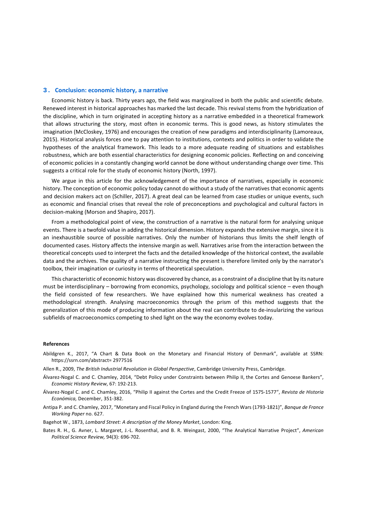#### **3. Conclusion: economic history, a narrative**

Economic history is back. Thirty years ago, the field was marginalized in both the public and scientific debate. Renewed interest in historical approaches has marked the last decade. This revival stems from the hybridization of the discipline, which in turn originated in accepting history as a narrative embedded in a theoretical framework that allows structuring the story, most often in economic terms. This is good news, as history stimulates the imagination (McCloskey, 1976) and encourages the creation of new paradigms and interdisciplinarity (Lamoreaux, 2015). Historical analysis forces one to pay attention to institutions, contexts and politics in order to validate the hypotheses of the analytical framework. This leads to a more adequate reading of situations and establishes robustness, which are both essential characteristics for designing economic policies. Reflecting on and conceiving of economic policies in a constantly changing world cannot be done without understanding change over time. This suggests a critical role for the study of economic history (North, 1997).

We argue in this article for the acknowledgement of the importance of narratives, especially in economic history. The conception of economic policy today cannot do without a study of the narratives that economic agents and decision makers act on (Schiller, 2017). A great deal can be learned from case studies or unique events, such as economic and financial crises that reveal the role of preconceptions and psychological and cultural factors in decision‐making (Morson and Shapiro, 2017).

From a methodological point of view, the construction of a narrative is the natural form for analysing unique events. There is a twofold value in adding the historical dimension. History expands the extensive margin, since it is an inexhaustible source of possible narratives. Only the number of historians thus limits the shelf length of documented cases. History affects the intensive margin as well. Narratives arise from the interaction between the theoretical concepts used to interpret the facts and the detailed knowledge of the historical context, the available data and the archives. The quality of a narrative instructing the present is therefore limited only by the narrator's toolbox, their imagination or curiosity in terms of theoretical speculation.

This characteristic of economic history was discovered by chance, as a constraint of a discipline that by its nature must be interdisciplinary – borrowing from economics, psychology, sociology and political science – even though the field consisted of few researchers. We have explained how this numerical weakness has created a methodological strength. Analysing macroeconomics through the prism of this method suggests that the generalization of this mode of producing information about the real can contribute to de‐insularizing the various subfields of macroeconomics competing to shed light on the way the economy evolves today.

#### **References**

- Abildgren K., 2017, "A Chart & Data Book on the Monetary and Financial History of Denmark", available at SSRN: https://ssrn.com/abstract= 2977516
- Allen R., 2009, *The British Industrial Revolution in Global Perspective*, Cambridge University Press, Cambridge.
- Álvarez‐Nogal C. and C. Chamley, 2014, "Debt Policy under Constraints between Philip II, the Cortes and Genoese Bankers", *Economic History Review*, 67: 192‐213.
- Álvarez‐Nogal C. and C. Chamley, 2016, "Philip II against the Cortes and the Credit Freeze of 1575‐1577", *Revista de Historia Económica,* December, 351‐382.
- Antipa P. and C. Chamley, 2017, "Monetary and Fiscal Policy in England during the French Wars (1793‐1821)", *Banque de France Working Paper* no. 627.
- Bagehot W., 1873, *Lombard Street: A description of the Money Market*, London: King.
- Bates R. H., G. Avner, L. Margaret, J.‐L. Rosenthal, and B. R. Weingast, 2000, "The Analytical Narrative Project", *American Political Science Review,* 94(3): 696‐702.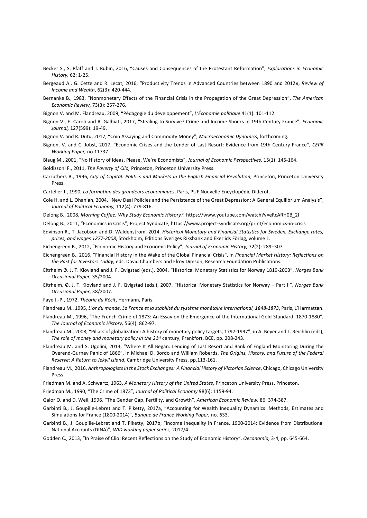- Becker S., S. Pfaff and J. Rubin, 2016, "Causes and Consequences of the Protestant Reformation", *Explorations in Economic History,* 62: 1‐25.
- Bergeaud A., G. Cette and R. Lecat, 2016, **"**Productivity Trends in Advanced Countries between 1890 and 2012**»**, *Review of Income and Wealth*, 62(3): 420‐444.
- Bernanke B., 1983, "Nonmonetary Effects of the Financial Crisis in the Propagation of the Great Depression", *The American Economic Review,* 73(3): 257‐276.
- Bignon V. and M. Flandreau, 2009, **"**Pédagogie du développement", *L'Économie politique* 41(1): 101‐112.
- Bignon V., E. Caroli and R. Galbiati, 2017, **"**Stealing to Survive? Crime and Income Shocks in 19th Century France", *Economic Journal,* 127(599): 19‐49.

Bignon V. and R. Dutu, 2017, **"**Coin Assaying and Commodity Money", *Macroeconomic Dynamics*, forthcoming.

Bignon, V. and C. Jobst, 2017, "Economic Crises and the Lender of Last Resort: Evidence from 19th Century France", *CEPR Working Paper,* no.11737.

Blaug M., 2001, "No History of Ideas, Please, We're Economists", *Journal of Economic Perspectives,* 15(1): 145‐164.

Boldizzoni F., 2011, *The Poverty of Clio,* Princeton, Princeton University Press.

- Carruthers B., 1996, *City of Capital: Politics and Markets in the English Financial Revolution*, Princeton, Princeton University Press.
- Cartelier J., 1990, *La formation des grandeurs économiques*, Paris, PUF Nouvelle Encyclopédie Diderot.
- Cole H. and L. Ohanian, 2004, "New Deal Policies and the Persistence of the Great Depression: A General Equilibrium Analysis", *Journal of Political Economy,* 112(4): 779‐816.
- Delong B., 2008, *Morning Coffee: Why Study Economic History?,* https://www.youtube.com/watch?v=eRcARH0B\_2I
- Delong B., 2011, "Economics in Crisis", Project Syndicate, https://www.project-syndicate.org/print/economics-in-crisis
- Edvinson R., T. Jacobson and D. Waldenstrom, 2014, *Historical Monetary and Financial Statistics for Sweden, Exchange rates, prices, and wages 1277‐2008*, Stockholm, Editions Sveriges Riksbank and Ekerlids Förlag, volume 1.
- Eichengreen B., 2012, "Economic History and Economic Policy", *Journal of Economic History,* 72(2): 289–307.
- Eichengreen B., 2016, "Financial History in the Wake of the Global Financial Crisis", in *Financial Market History: Reflections on the Past for Investors Today,* eds. David Chambers and Elroy Dimson, Research Foundation Publications.
- Eitrheim Ø. J. T. Klovland and J. F. Qvigstad (eds.), 2004, "Historical Monetary Statistics for Norway 1819‐2003", *Norges Bank Occasional Paper,* 35/2004.
- Eitrheim, Ø. J. T. Klovland and J. F. Qvigstad (eds.), 2007, "Historical Monetary Statistics for Norway Part II", *Norges Bank Occasional Paper*, 38/2007.
- Faye J.‐P., 1972, *Théorie du Récit*, Hermann, Paris.
- Flandreau M., 1995, *L'or du monde. La France et la stabilité du système monétaire international, 1848‐1873*, Paris, L'Harmattan.
- Flandreau M., 1996, "The French Crime of 1873: An Essay on the Emergence of the International Gold Standard, 1870‐1880", *The Journal of Economic History,* 56(4): 862‐97.
- Flandreau M., 2008, "Pillars of globalization: A history of monetary policy targets, 1797‐1997", in A. Beyer and L. Reichlin (eds), *The role of money and monetary policy in the 21*st century, Frankfort, BCE, pp. 208‐243.
- Flandreau M. and S. Ugolini, 2013, "Where It All Began: Lending of Last Resort and Bank of England Monitoring During the Overend‐Gurney Panic of 1866", in Michael D. Bordo and William Roberds, *The Origins, History, and Future of the Federal Reserve: A Return to Jekyll Island*, Cambridge University Press, pp.113‐161.
- Flandreau M., 2016, *Anthropologists in the Stock Exchanges: A Financial History of Victorian Science*, Chicago, Chicago University Press.
- Friedman M. and A. Schwartz, 1963, *A Monetary History of the United States*, Princeton University Press, Princeton.
- Friedman M., 1990, "The Crime of 1873", *Journal of Political Economy* 98(6): 1159‐94.
- Galor O. and D. Weil, 1996, "The Gender Gap, Fertility, and Growth", *American Economic Review,* 86: 374‐387.
- Garbinti B., J. Goupille-Lebret and T. Piketty, 2017a, "Accounting for Wealth Inequality Dynamics: Methods, Estimates and Simulations for France (1800‐2014)", *Banque de France Working Paper,* no. 633.
- Garbinti B., J. Goupille‐Lebret and T. Piketty, 2017b, "Income Inequality in France, 1900‐2014: Evidence from Distributional National Accounts (DINA)", *WID working paper series,* 2017/4.
- Godden C., 2013, "In Praise of Clio: Recent Reflections on the Study of Economic History", *Oeconomia,* 3‐4, pp. 645‐664.